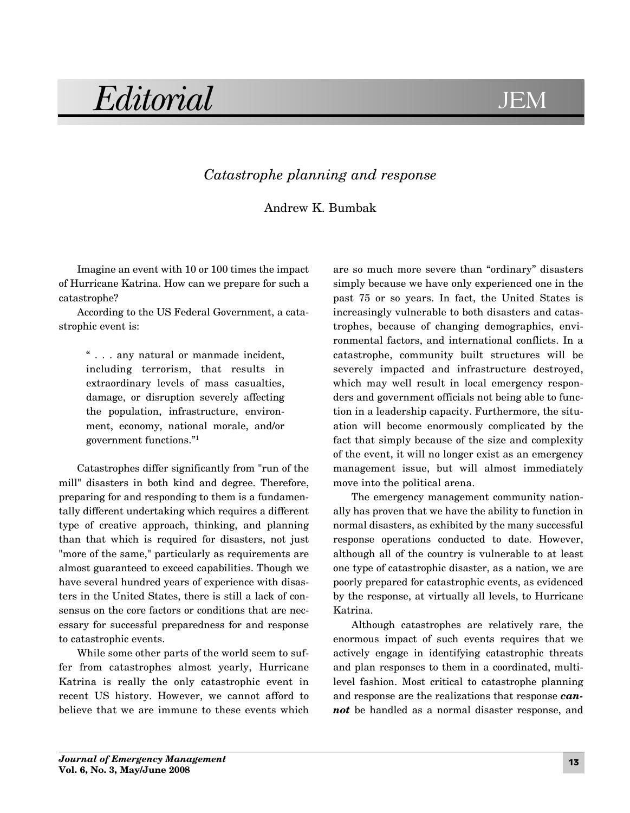## Editorial JE **JEM**

## *Catastrophe planning and response*

## Andrew K. Bumbak

Imagine an event with 10 or 100 times the impact of Hurricane Katrina. How can we prepare for such a catastrophe?

According to the US Federal Government, a catastrophic event is:

> " . . . any natural or manmade incident, including terrorism, that results in extraordinary levels of mass casualties, damage, or disruption severely affecting the population, infrastructure, environment, economy, national morale, and/or government functions."1

Catastrophes differ significantly from "run of the mill" disasters in both kind and degree. Therefore, preparing for and responding to them is a fundamentally different undertaking which requires a different type of creative approach, thinking, and planning than that which is required for disasters, not just "more of the same," particularly as requirements are almost guaranteed to exceed capabilities. Though we have several hundred years of experience with disasters in the United States, there is still a lack of consensus on the core factors or conditions that are necessary for successful preparedness for and response to catastrophic events.

While some other parts of the world seem to suffer from catastrophes almost yearly, Hurricane Katrina is really the only catastrophic event in recent US history. However, we cannot afford to believe that we are immune to these events which

are so much more severe than "ordinary" disasters simply because we have only experienced one in the past 75 or so years. In fact, the United States is increasingly vulnerable to both disasters and catastrophes, because of changing demographics, environmental factors, and international conflicts. In a catastrophe, community built structures will be severely impacted and infrastructure destroyed, which may well result in local emergency responders and government officials not being able to function in a leadership capacity. Furthermore, the situation will become enormously complicated by the fact that simply because of the size and complexity of the event, it will no longer exist as an emergency management issue, but will almost immediately move into the political arena.

The emergency management community nationally has proven that we have the ability to function in normal disasters, as exhibited by the many successful response operations conducted to date. However, although all of the country is vulnerable to at least one type of catastrophic disaster, as a nation, we are poorly prepared for catastrophic events, as evidenced by the response, at virtually all levels, to Hurricane Katrina.

Although catastrophes are relatively rare, the enormous impact of such events requires that we actively engage in identifying catastrophic threats and plan responses to them in a coordinated, multilevel fashion. Most critical to catastrophe planning and response are the realizations that response *cannot* be handled as a normal disaster response, and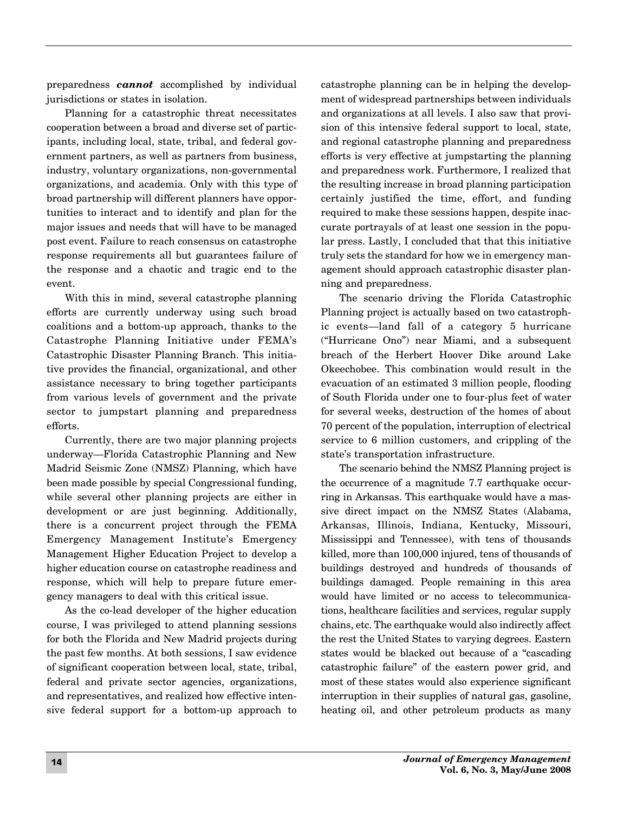preparedness *cannot* accomplished by individual jurisdictions or states in isolation.

Planning for a catastrophic threat necessitates cooperation between a broad and diverse set of participants, including local, state, tribal, and federal government partners, as well as partners from business, industry, voluntary organizations, non-governmental organizations, and academia. Only with this type of broad partnership will different planners have opportunities to interact and to identify and plan for the major issues and needs that will have to be managed post event. Failure to reach consensus on catastrophe response requirements all but guarantees failure of the response and a chaotic and tragic end to the event.

With this in mind, several catastrophe planning efforts are currently underway using such broad coalitions and a bottom-up approach, thanks to the Catastrophe Planning Initiative under FEMA's Catastrophic Disaster Planning Branch. This initiative provides the financial, organizational, and other assistance necessary to bring together participants from various levels of government and the private sector to jumpstart planning and preparedness efforts.

Currently, there are two major planning projects underway—Florida Catastrophic Planning and New Madrid Seismic Zone (NMSZ) Planning, which have been made possible by special Congressional funding, while several other planning projects are either in development or are just beginning. Additionally, there is a concurrent project through the FEMA Emergency Management Institute's Emergency Management Higher Education Project to develop a higher education course on catastrophe readiness and response, which will help to prepare future emergency managers to deal with this critical issue.

As the co-lead developer of the higher education course, I was privileged to attend planning sessions for both the Florida and New Madrid projects during the past few months. At both sessions, I saw evidence of significant cooperation between local, state, tribal, federal and private sector agencies, organizations, and representatives, and realized how effective intensive federal support for a bottom-up approach to

catastrophe planning can be in helping the development of widespread partnerships between individuals and organizations at all levels. I also saw that provision of this intensive federal support to local, state, and regional catastrophe planning and preparedness efforts is very effective at jumpstarting the planning and preparedness work. Furthermore, I realized that the resulting increase in broad planning participation certainly justified the time, effort, and funding required to make these sessions happen, despite inaccurate portrayals of at least one session in the popular press. Lastly, I concluded that that this initiative truly sets the standard for how we in emergency management should approach catastrophic disaster planning and preparedness.

The scenario driving the Florida Catastrophic Planning project is actually based on two catastrophic events—land fall of a category 5 hurricane ("Hurricane Ono") near Miami, and a subsequent breach of the Herbert Hoover Dike around Lake Okeechobee. This combination would result in the evacuation of an estimated 3 million people, flooding of South Florida under one to four-plus feet of water for several weeks, destruction of the homes of about 70 percent of the population, interruption of electrical service to 6 million customers, and crippling of the state's transportation infrastructure.

The scenario behind the NMSZ Planning project is the occurrence of a magnitude 7.7 earthquake occurring in Arkansas. This earthquake would have a massive direct impact on the NMSZ States (Alabama, Arkansas, Illinois, Indiana, Kentucky, Missouri, Mississippi and Tennessee), with tens of thousands killed, more than 100,000 injured, tens of thousands of buildings destroyed and hundreds of thousands of buildings damaged. People remaining in this area would have limited or no access to telecommunications, healthcare facilities and services, regular supply chains, etc. The earthquake would also indirectly affect the rest the United States to varying degrees. Eastern states would be blacked out because of a "cascading catastrophic failure" of the eastern power grid, and most of these states would also experience significant interruption in their supplies of natural gas, gasoline, heating oil, and other petroleum products as many